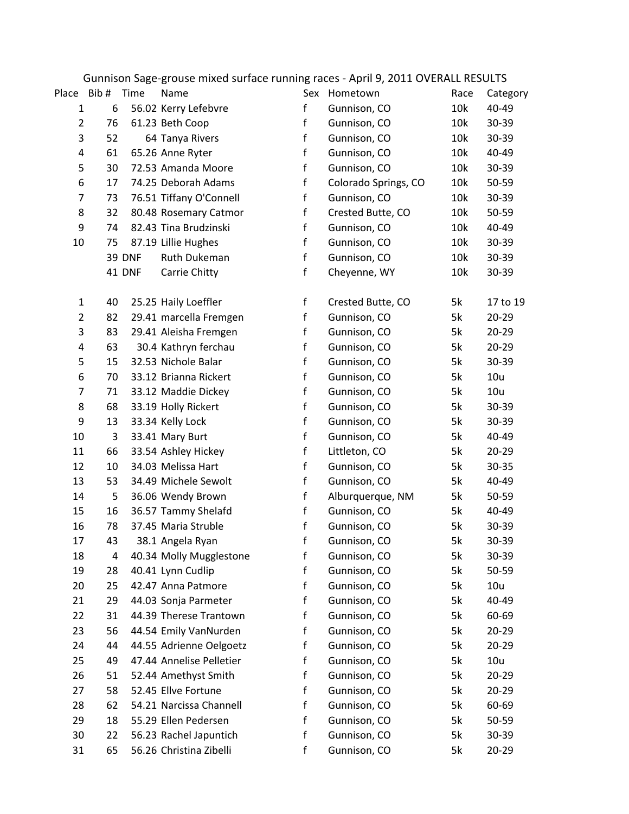|                |      |               | Udiniisun Jage-gruuse niiked suriate running rates - Aprii 9, 2011 OVENAEE NESUETS |              |                      |      |           |
|----------------|------|---------------|------------------------------------------------------------------------------------|--------------|----------------------|------|-----------|
| Place          | Bib# | Time          | Name                                                                               |              | Sex Hometown         | Race | Category  |
| $\mathbf{1}$   | 6    |               | 56.02 Kerry Lefebvre                                                               | f            | Gunnison, CO         | 10k  | 40-49     |
| $\overline{2}$ | 76   |               | 61.23 Beth Coop                                                                    | f            | Gunnison, CO         | 10k  | 30-39     |
| 3              | 52   |               | 64 Tanya Rivers                                                                    | $\mathsf{f}$ | Gunnison, CO         | 10k  | 30-39     |
| 4              | 61   |               | 65.26 Anne Ryter                                                                   | $\mathsf{f}$ | Gunnison, CO         | 10k  | 40-49     |
| 5              | 30   |               | 72.53 Amanda Moore                                                                 | f            | Gunnison, CO         | 10k  | 30-39     |
| 6              | 17   |               | 74.25 Deborah Adams                                                                | $\mathsf f$  | Colorado Springs, CO | 10k  | 50-59     |
| $\overline{7}$ | 73   |               | 76.51 Tiffany O'Connell                                                            | $\mathsf{f}$ | Gunnison, CO         | 10k  | 30-39     |
| 8              | 32   |               | 80.48 Rosemary Catmor                                                              | f            | Crested Butte, CO    | 10k  | 50-59     |
| 9              | 74   |               | 82.43 Tina Brudzinski                                                              | $\mathsf f$  | Gunnison, CO         | 10k  | 40-49     |
| 10             | 75   |               | 87.19 Lillie Hughes                                                                | f            | Gunnison, CO         | 10k  | 30-39     |
|                |      | <b>39 DNF</b> | Ruth Dukeman                                                                       | $\mathsf f$  | Gunnison, CO         | 10k  | 30-39     |
|                |      | 41 DNF        | Carrie Chitty                                                                      | f            | Cheyenne, WY         | 10k  | 30-39     |
| $\mathbf{1}$   | 40   |               | 25.25 Haily Loeffler                                                               | $\mathsf f$  | Crested Butte, CO    | 5k   | 17 to 19  |
| $\overline{2}$ | 82   |               | 29.41 marcella Fremgen                                                             | $\mathsf{f}$ | Gunnison, CO         | 5k   | $20 - 29$ |
| 3              | 83   |               | 29.41 Aleisha Fremgen                                                              | f            | Gunnison, CO         | 5k   | $20 - 29$ |
| 4              | 63   |               | 30.4 Kathryn ferchau                                                               | f            | Gunnison, CO         | 5k   | $20 - 29$ |
| 5              | 15   |               | 32.53 Nichole Balar                                                                | $\mathsf{f}$ | Gunnison, CO         | 5k   | 30-39     |
| 6              | 70   |               | 33.12 Brianna Rickert                                                              | $\mathsf{f}$ | Gunnison, CO         | 5k   | 10u       |
| $\overline{7}$ | 71   |               | 33.12 Maddie Dickey                                                                | f            | Gunnison, CO         | 5k   | 10u       |
| 8              | 68   |               | 33.19 Holly Rickert                                                                | f            | Gunnison, CO         | 5k   | 30-39     |
| 9              | 13   |               | 33.34 Kelly Lock                                                                   | $\mathsf{f}$ | Gunnison, CO         | 5k   | 30-39     |
| 10             | 3    |               | 33.41 Mary Burt                                                                    | $\mathsf f$  | Gunnison, CO         | 5k   | 40-49     |
| 11             | 66   |               | 33.54 Ashley Hickey                                                                | f            | Littleton, CO        | 5k   | $20 - 29$ |
| 12             | 10   |               | 34.03 Melissa Hart                                                                 | f            | Gunnison, CO         | 5k   | 30-35     |
| 13             | 53   |               | 34.49 Michele Sewolt                                                               | f            | Gunnison, CO         | 5k   | 40-49     |
| 14             | 5    |               | 36.06 Wendy Brown                                                                  | f            | Alburquerque, NM     | 5k   | 50-59     |
| 15             | 16   |               | 36.57 Tammy Shelafd                                                                | $\mathsf f$  | Gunnison, CO         | 5k   | 40-49     |
| 16             | 78   |               | 37.45 Maria Struble                                                                | $\mathsf f$  | Gunnison, CO         | 5k   | 30-39     |
| 17             | 43   |               | 38.1 Angela Ryan                                                                   | f            | Gunnison, CO         | 5k   | 30-39     |
| 18             | 4    |               | 40.34 Molly Mugglestone                                                            | f            | Gunnison, CO         | 5k   | 30-39     |
| 19             | 28   |               | 40.41 Lynn Cudlip                                                                  | f            | Gunnison, CO         | 5k   | 50-59     |
| 20             | 25   |               | 42.47 Anna Patmore                                                                 | f            | Gunnison, CO         | 5k   | 10u       |
| 21             | 29   |               | 44.03 Sonja Parmeter                                                               | f            | Gunnison, CO         | 5k   | 40-49     |
| 22             | 31   |               | 44.39 Therese Trantown                                                             | f            | Gunnison, CO         | 5k   | 60-69     |
| 23             | 56   |               | 44.54 Emily VanNurden                                                              | f            | Gunnison, CO         | 5k   | $20 - 29$ |
| 24             | 44   |               | 44.55 Adrienne Oelgoetz                                                            | $\mathsf{f}$ | Gunnison, CO         | 5k   | $20 - 29$ |
| 25             | 49   |               | 47.44 Annelise Pelletier                                                           | $\mathsf{f}$ | Gunnison, CO         | 5k   | 10u       |
| 26             | 51   |               | 52.44 Amethyst Smith                                                               | f            | Gunnison, CO         | 5k   | $20 - 29$ |
| 27             | 58   |               | 52.45 Ellve Fortune                                                                | f            | Gunnison, CO         | 5k   | $20 - 29$ |
| 28             | 62   |               | 54.21 Narcissa Channell                                                            | $\mathsf{f}$ | Gunnison, CO         | 5k   | 60-69     |
| 29             | 18   |               | 55.29 Ellen Pedersen                                                               | $\mathsf{f}$ | Gunnison, CO         | 5k   | 50-59     |
| 30             | 22   |               | 56.23 Rachel Japuntich                                                             | $\mathsf{f}$ | Gunnison, CO         | 5k   | 30-39     |
| 31             | 65   |               | 56.26 Christina Zibelli                                                            | f            | Gunnison, CO         | 5k   | $20 - 29$ |

## Gunnison Sage-grouse mixed surface running races - April 9, 2011 OVERALL RESULTS